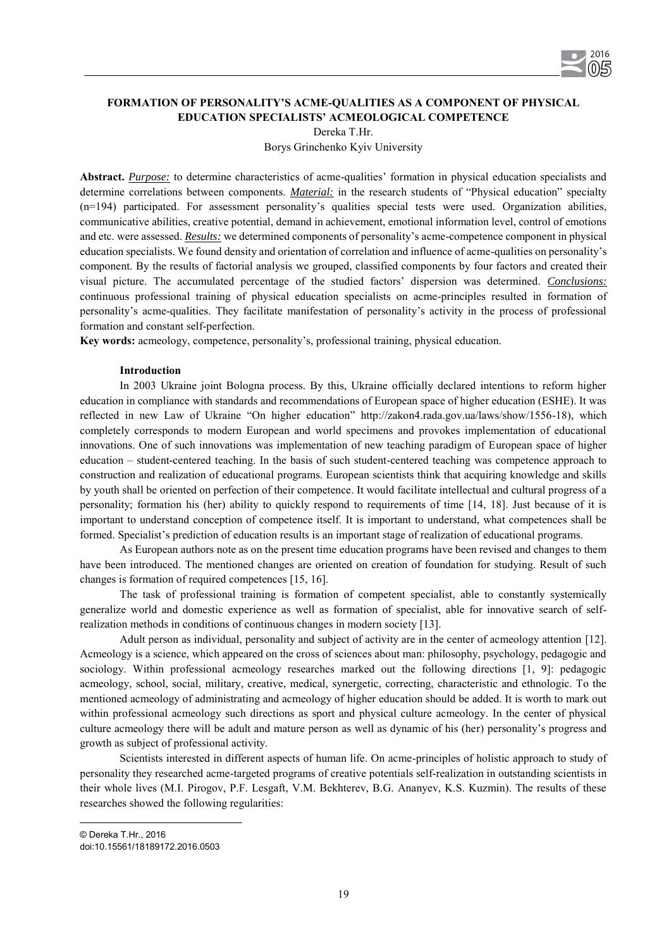

# **FORMATION OF PERSONALITY'S ACME-QUALITIES AS A COMPONENT OF PHYSICAL EDUCATION SPECIALISTS' ACMEOLOGICAL COMPETENCE**  Dereka T.Hr.

Borys Grinchenko Kyiv University

**Abstract.** *Purpose:* to determine characteristics of acme-qualities' formation in physical education specialists and determine correlations between components. *Material:* in the research students of "Physical education" specialty (n=194) participated. For assessment personality's qualities special tests were used. Organization abilities, communicative abilities, creative potential, demand in achievement, emotional information level, control of emotions and etc. were assessed. *Results:* we determined components of personality's acme-competence component in physical education specialists. We found density and orientation of correlation and influence of acme-qualities on personality's component. By the results of factorial analysis we grouped, classified components by four factors and created their visual picture. The accumulated percentage of the studied factors' dispersion was determined. *Conclusions:* continuous professional training of physical education specialists on acme-principles resulted in formation of personality's acme-qualities. They facilitate manifestation of personality's activity in the process of professional formation and constant self-perfection.

**Key words:** acmeology, competence, personality's, professional training, physical education.

### **Introduction**

In 2003 Ukraine joint Bologna process. By this, Ukraine officially declared intentions to reform higher education in compliance with standards and recommendations of European space of higher education (ESHE). It was reflected in new Law of Ukraine "On higher education" http://zakon4.rada.gov.ua/laws/show/1556-18), which completely corresponds to modern European and world specimens and provokes implementation of educational innovations. One of such innovations was implementation of new teaching paradigm of European space of higher education – student-centered teaching. In the basis of such student-centered teaching was competence approach to construction and realization of educational programs. European scientists think that acquiring knowledge and skills by youth shall be oriented on perfection of their competence. It would facilitate intellectual and cultural progress of a personality; formation his (her) ability to quickly respond to requirements of time [14, 18]. Just because of it is important to understand conception of competence itself. It is important to understand, what competences shall be formed. Specialist's prediction of education results is an important stage of realization of educational programs.

As European authors note as on the present time education programs have been revised and changes to them have been introduced. The mentioned changes are oriented on creation of foundation for studying. Result of such changes is formation of required competences [15, 16].

The task of professional training is formation of competent specialist, able to constantly systemically generalize world and domestic experience as well as formation of specialist, able for innovative search of selfrealization methods in conditions of continuous changes in modern society [13].

Adult person as individual, personality and subject of activity are in the center of acmeology attention [12]. Acmeology is a science, which appeared on the cross of sciences about man: philosophy, psychology, pedagogic and sociology. Within professional acmeology researches marked out the following directions [1, 9]: pedagogic acmeology, school, social, military, creative, medical, synergetic, correcting, characteristic and ethnologic. To the mentioned acmeology of administrating and acmeology of higher education should be added. It is worth to mark out within professional acmeology such directions as sport and physical culture acmeology. In the center of physical culture acmeology there will be adult and mature person as well as dynamic of his (her) personality's progress and growth as subject of professional activity.

Scientists interested in different aspects of human life. On acme-principles of holistic approach to study of personality they researched acme-targeted programs of creative potentials self-realization in outstanding scientists in their whole lives (M.I. Pirogov, P.F. Lesgaft, V.M. Bekhterev, B.G. Ananyev, K.S. Kuzmin). The results of these researches showed the following regularities:

 $\overline{a}$ © Dereka T.Hr., 2016 doi:10.15561/18189172.2016.0503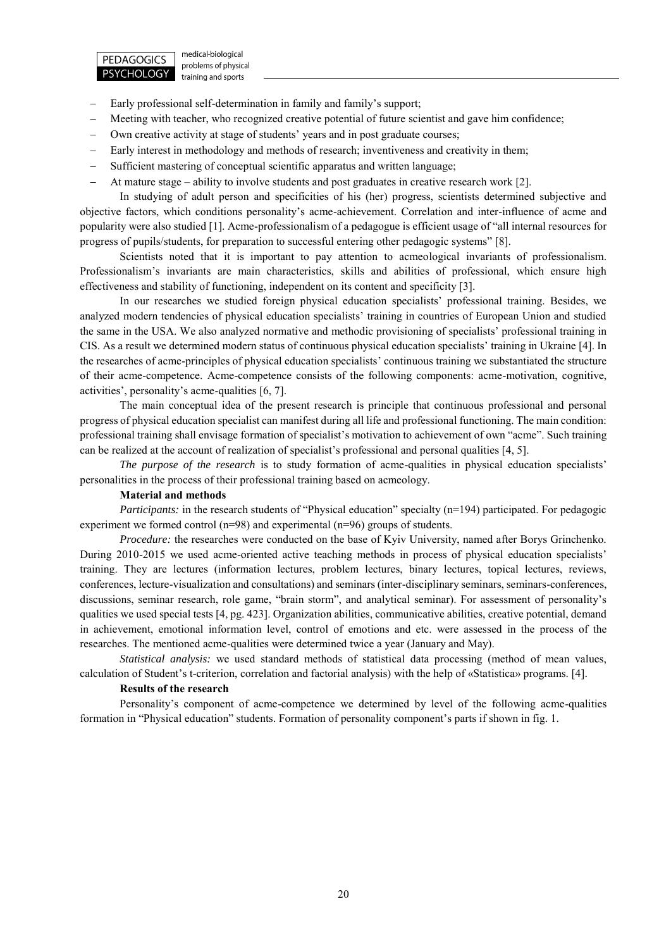

medical-biological problems of physical training and sports

- Early professional self-determination in family and family's support;
- Meeting with teacher, who recognized creative potential of future scientist and gave him confidence;
- Own creative activity at stage of students' years and in post graduate courses;
- Early interest in methodology and methods of research; inventiveness and creativity in them;
- Sufficient mastering of conceptual scientific apparatus and written language;
- At mature stage ability to involve students and post graduates in creative research work [2].

In studying of adult person and specificities of his (her) progress, scientists determined subjective and objective factors, which conditions personality's acme-achievement. Correlation and inter-influence of acme and popularity were also studied [1]. Acme-professionalism of a pedagogue is efficient usage of "all internal resources for progress of pupils/students, for preparation to successful entering other pedagogic systems" [8].

Scientists noted that it is important to pay attention to acmeological invariants of professionalism. Professionalism's invariants are main characteristics, skills and abilities of professional, which ensure high effectiveness and stability of functioning, independent on its content and specificity [3].

In our researches we studied foreign physical education specialists' professional training. Besides, we analyzed modern tendencies of physical education specialists' training in countries of European Union and studied the same in the USA. We also analyzed normative and methodic provisioning of specialists' professional training in CIS. As a result we determined modern status of continuous physical education specialists' training in Ukraine [4]. In the researches of acme-principles of physical education specialists' continuous training we substantiated the structure of their acme-competence. Acme-competence consists of the following components: acme-motivation, cognitive, activities', personality's acme-qualities [6, 7].

The main conceptual idea of the present research is principle that continuous professional and personal progress of physical education specialist can manifest during all life and professional functioning. The main condition: professional training shall envisage formation of specialist's motivation to achievement of own "acme". Such training can be realized at the account of realization of specialist's professional and personal qualities [4, 5].

*The purpose of the research* is to study formation of acme-qualities in physical education specialists' personalities in the process of their professional training based on acmeology.

#### **Material and methods**

*Participants:* in the research students of "Physical education" specialty (n=194) participated. For pedagogic experiment we formed control (n=98) and experimental (n=96) groups of students.

*Procedure:* the researches were conducted on the base of Kyiv University, named after Borys Grinchenko. During 2010-2015 we used acme-oriented active teaching methods in process of physical education specialists' training. They are lectures (information lectures, problem lectures, binary lectures, topical lectures, reviews, conferences, lecture-visualization and consultations) and seminars (inter-disciplinary seminars, seminars-conferences, discussions, seminar research, role game, "brain storm", and analytical seminar). For assessment of personality's qualities we used special tests [4, pg. 423]. Organization abilities, communicative abilities, creative potential, demand in achievement, emotional information level, control of emotions and etc. were assessed in the process of the researches. The mentioned acme-qualities were determined twice a year (January and May).

*Statistical analysis:* we used standard methods of statistical data processing (method of mean values, calculation of Student's t-criterion, correlation and factorial analysis) with the help of «Statіstіca» programs. [4].

## **Results of the research**

Personality's component of acme-competence we determined by level of the following acme-qualities formation in "Physical education" students. Formation of personality component's parts if shown in fig. 1.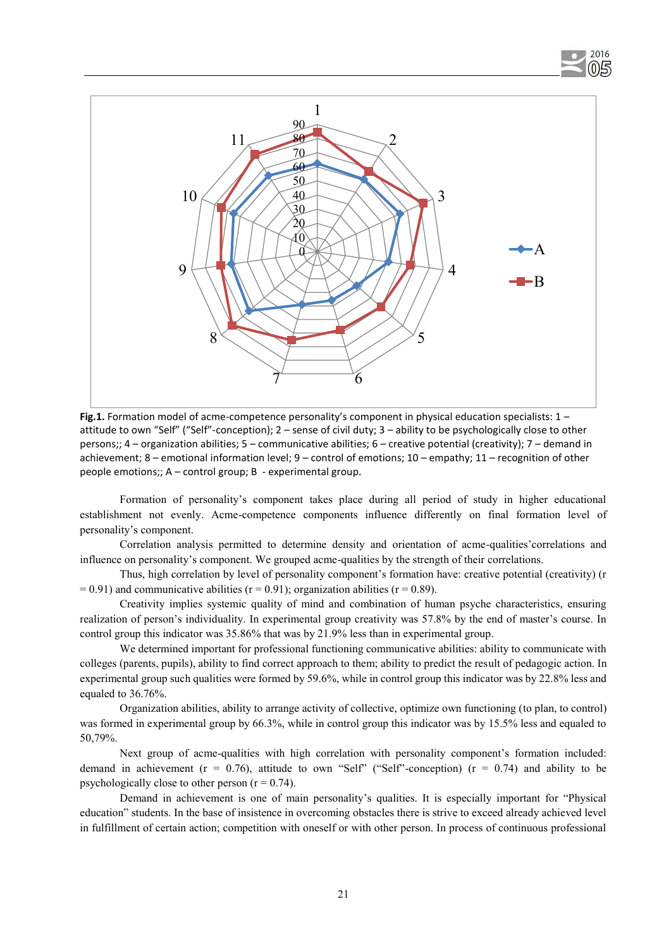



**Fig.1.** Formation model of acme-competence personality's component in physical education specialists: 1 – attitude to own "Self" ("Self"-conception); 2 – sense of civil duty; 3 – ability to be psychologically close to other persons;; 4 – organization abilities; 5 – communicative abilities; 6 – creative potential (creativity); 7 – demand in achievement; 8 – emotional information level; 9 – control of emotions; 10 – empathy; 11 – recognition of other people emotions;; А – control group; В - experimental group.

Formation of personality's component takes place during all period of study in higher educational establishment not evenly. Acme-competence components influence differently on final formation level of personality's component.

Correlation analysis permitted to determine density and orientation of acme-qualities'correlations and influence on personality's component. We grouped acme-qualities by the strength of their correlations.

Thus, high correlation by level of personality component's formation have: creative potential (creativity) (r  $= 0.91$ ) and communicative abilities (r = 0.91); organization abilities (r = 0.89).

Creativity implies systemic quality of mind and combination of human psyche characteristics, ensuring realization of person's individuality. In experimental group creativity was 57.8% by the end of master's course. In control group this indicator was 35.86% that was by 21.9% less than in experimental group.

We determined important for professional functioning communicative abilities: ability to communicate with colleges (parents, pupils), ability to find correct approach to them; ability to predict the result of pedagogic action. In experimental group such qualities were formed by 59.6%, while in control group this indicator was by 22.8% less and equaled to 36.76%.

Organization abilities, ability to arrange activity of collective, optimize own functioning (to plan, to control) was formed in experimental group by 66.3%, while in control group this indicator was by 15.5% less and equaled to 50,79%.

Next group of acme-qualities with high correlation with personality component's formation included: demand in achievement ( $r = 0.76$ ), attitude to own "Self" ("Self"-conception) ( $r = 0.74$ ) and ability to be psychologically close to other person  $(r = 0.74)$ .

Demand in achievement is one of main personality's qualities. It is especially important for "Physical education" students. In the base of insistence in overcoming obstacles there is strive to exceed already achieved level in fulfillment of certain action; competition with oneself or with other person. In process of continuous professional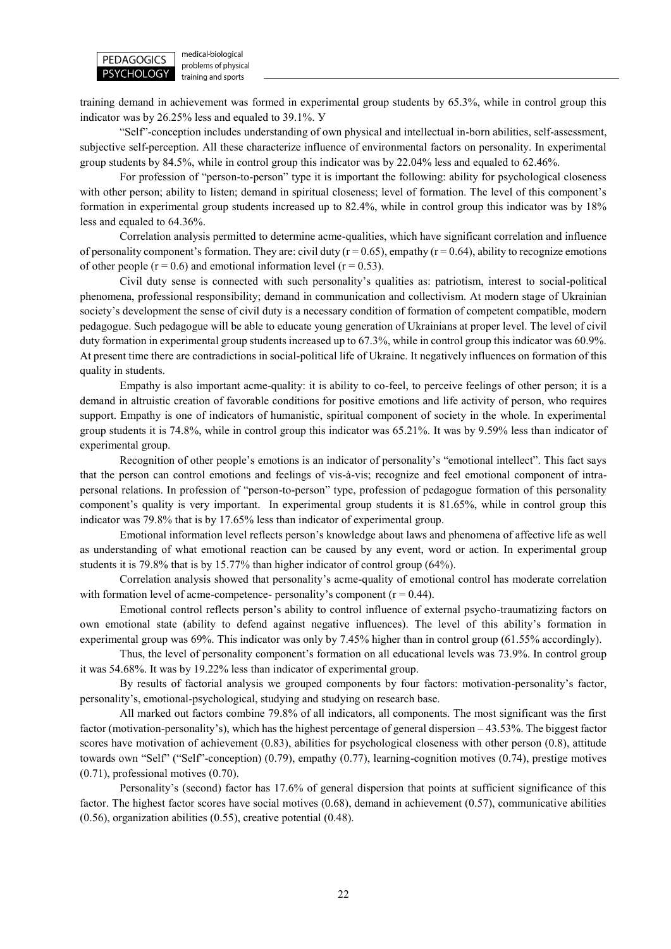

medical-biological problems of physical training and sports

training demand in achievement was formed in experimental group students by 65.3%, while in control group this indicator was by 26.25% less and equaled to 39.1%. У

"Self"-conception includes understanding of own physical and intellectual in-born abilities, self-assessment, subjective self-perception. All these characterize influence of environmental factors on personality. In experimental group students by 84.5%, while in control group this indicator was by 22.04% less and equaled to 62.46%.

For profession of "person-to-person" type it is important the following: ability for psychological closeness with other person; ability to listen; demand in spiritual closeness; level of formation. The level of this component's formation in experimental group students increased up to 82.4%, while in control group this indicator was by 18% less and equaled to 64.36%.

Correlation analysis permitted to determine acme-qualities, which have significant correlation and influence of personality component's formation. They are: civil duty ( $r = 0.65$ ), empathy ( $r = 0.64$ ), ability to recognize emotions of other people ( $r = 0.6$ ) and emotional information level ( $r = 0.53$ ).

Civil duty sense is connected with such personality's qualities as: patriotism, interest to social-political phenomena, professional responsibility; demand in communication and collectivism. At modern stage of Ukrainian society's development the sense of civil duty is a necessary condition of formation of competent compatible, modern pedagogue. Such pedagogue will be able to educate young generation of Ukrainians at proper level. The level of civil duty formation in experimental group students increased up to 67.3%, while in control group this indicator was 60.9%. At present time there are contradictions in social-political life of Ukraine. It negatively influences on formation of this quality in students.

Empathy is also important acme-quality: it is ability to co-feel, to perceive feelings of other person; it is a demand in altruistic creation of favorable conditions for positive emotions and life activity of person, who requires support. Empathy is one of indicators of humanistic, spiritual component of society in the whole. In experimental group students it is 74.8%, while in control group this indicator was 65.21%. It was by 9.59% less than indicator of experimental group.

Recognition of other people's emotions is an indicator of personality's "emotional intellect". This fact says that the person can control emotions and feelings of vis-à-vis; recognize and feel emotional component of intrapersonal relations. In profession of "person-to-person" type, profession of pedagogue formation of this personality component's quality is very important. In experimental group students it is 81.65%, while in control group this indicator was 79.8% that is by 17.65% less than indicator of experimental group.

Emotional information level reflects person's knowledge about laws and phenomena of affective life as well as understanding of what emotional reaction can be caused by any event, word or action. In experimental group students it is 79.8% that is by 15.77% than higher indicator of control group (64%).

Correlation analysis showed that personality's acme-quality of emotional control has moderate correlation with formation level of acme-competence- personality's component  $(r = 0.44)$ .

Emotional control reflects person's ability to control influence of external psycho-traumatizing factors on own emotional state (ability to defend against negative influences). The level of this ability's formation in experimental group was 69%. This indicator was only by 7.45% higher than in control group (61.55% accordingly).

Thus, the level of personality component's formation on all educational levels was 73.9%. In control group it was 54.68%. It was by 19.22% less than indicator of experimental group.

By results of factorial analysis we grouped components by four factors: motivation-personality's factor, personality's, emotional-psychological, studying and studying on research base.

All marked out factors combine 79.8% of all indicators, all components. The most significant was the first factor (motivation-personality's), which has the highest percentage of general dispersion – 43.53%. The biggest factor scores have motivation of achievement (0.83), abilities for psychological closeness with other person (0.8), attitude towards own "Self" ("Self"-conception) (0.79), empathy (0.77), learning-cognition motives (0.74), prestige motives (0.71), professional motives (0.70).

Personality's (second) factor has 17.6% of general dispersion that points at sufficient significance of this factor. The highest factor scores have social motives (0.68), demand in achievement (0.57), communicative abilities (0.56), organization abilities (0.55), creative potential (0.48).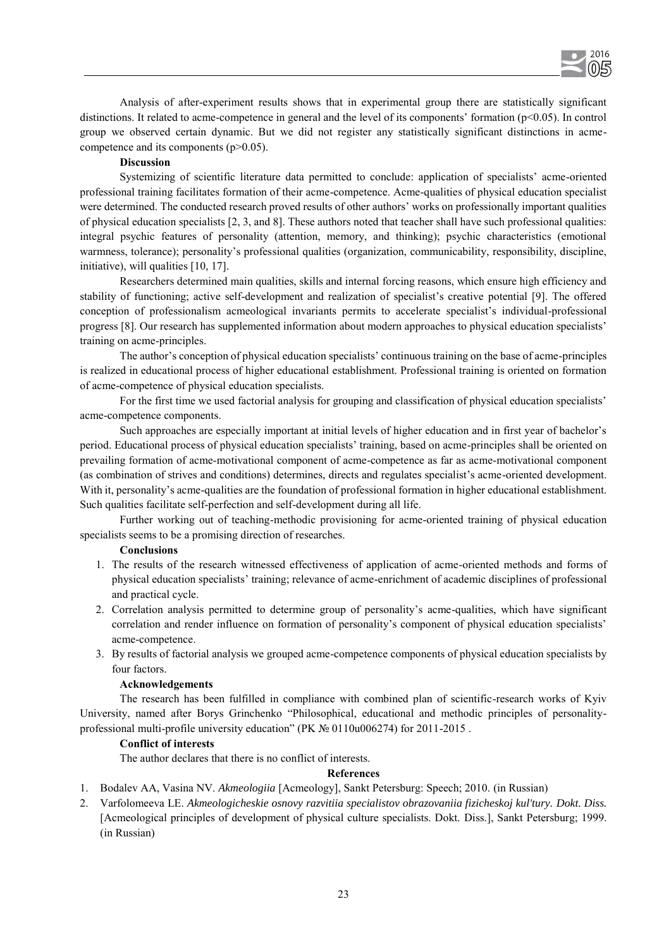

Analysis of after-experiment results shows that in experimental group there are statistically significant distinctions. It related to acme-competence in general and the level of its components' formation (p<0.05). In control group we observed certain dynamic. But we did not register any statistically significant distinctions in acmecompetence and its components (p>0.05).

## **Discussion**

Systemizing of scientific literature data permitted to conclude: application of specialists' acme-oriented professional training facilitates formation of their acme-competence. Acme-qualities of physical education specialist were determined. The conducted research proved results of other authors' works on professionally important qualities of physical education specialists [2, 3, and 8]. These authors noted that teacher shall have such professional qualities: integral psychic features of personality (attention, memory, and thinking); psychic characteristics (emotional warmness, tolerance); personality's professional qualities (organization, communicability, responsibility, discipline, initiative), will qualities [10, 17].

Researchers determined main qualities, skills and internal forcing reasons, which ensure high efficiency and stability of functioning; active self-development and realization of specialist's creative potential [9]. The offered conception of professionalism acmeological invariants permits to accelerate specialist's individual-professional progress [8]. Our research has supplemented information about modern approaches to physical education specialists' training on acme-principles.

The author's conception of physical education specialists' continuous training on the base of acme-principles is realized in educational process of higher educational establishment. Professional training is oriented on formation of acme-competence of physical education specialists.

For the first time we used factorial analysis for grouping and classification of physical education specialists' acme-competence components.

Such approaches are especially important at initial levels of higher education and in first year of bachelor's period. Educational process of physical education specialists' training, based on acme-principles shall be oriented on prevailing formation of acme-motivational component of acme-competence as far as acme-motivational component (as combination of strives and conditions) determines, directs and regulates specialist's acme-oriented development. With it, personality's acme-qualities are the foundation of professional formation in higher educational establishment. Such qualities facilitate self-perfection and self-development during all life.

Further working out of teaching-methodic provisioning for acme-oriented training of physical education specialists seems to be a promising direction of researches.

### **Conclusions**

- 1. The results of the research witnessed effectiveness of application of acme-oriented methods and forms of physical education specialists' training; relevance of acme-enrichment of academic disciplines of professional and practical cycle.
- 2. Correlation analysis permitted to determine group of personality's acme-qualities, which have significant correlation and render influence on formation of personality's component of physical education specialists' acme-competence.
- 3. By results of factorial analysis we grouped acme-competence components of physical education specialists by four factors.

## **Acknowledgements**

The research has been fulfilled in compliance with combined plan of scientific-research works of Kyiv University, named after Borys Grinchenko "Philosophical, educational and methodic principles of personalityprofessional multi-profile university education" (PK № 0110u006274) for 2011-2015 .

### **Conflict of interests**

The author declares that there is no conflict of interests.

### **References**

- 1. Bodalev AA, Vasina NV. *Akmeologiia* [Acmeology], Sankt Petersburg: Speech; 2010. (in Russian)
- 2. Varfolomeeva LE. *Akmeologicheskie osnovy razvitiia specialistov obrazovaniia fizicheskoj kul'tury. Dokt. Diss.* [Acmeological principles of development of physical culture specialists. Dokt. Diss.], Sankt Petersburg; 1999. (in Russian)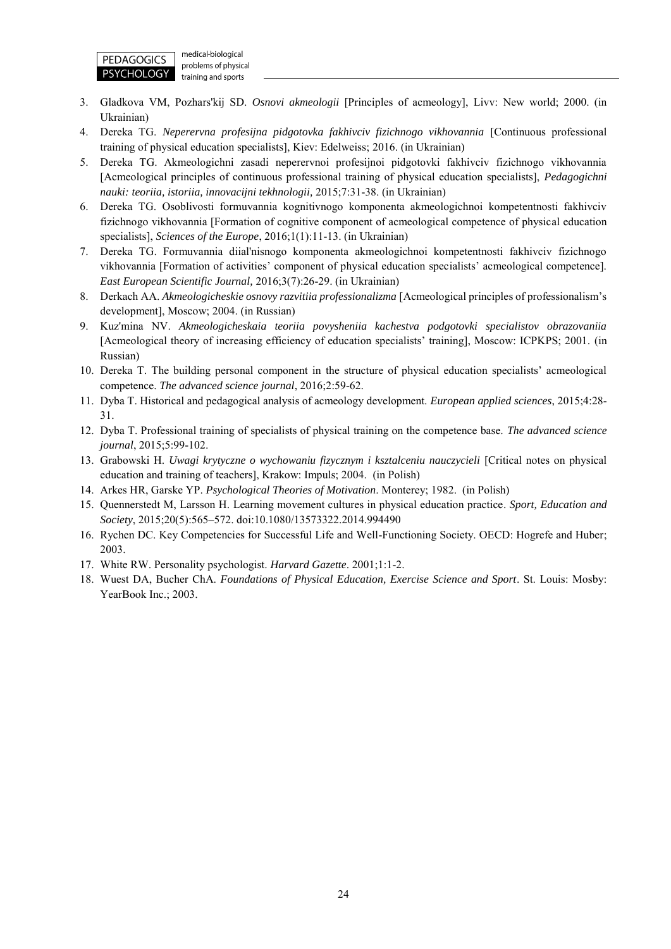

medical-biological problems of physical training and sports

- 3. Gladkova VM, Pozhars'kij SD. *Osnovi akmeologii* [Principles of acmeology], Livv: New world; 2000. (in Ukrainian)
- 4. Dereka TG. *Neperervna profesijna pidgotovka fakhivciv fizichnogo vikhovannia* [Continuous professional training of physical education specialists], Kiev: Edelweiss; 2016. (in Ukrainian)
- 5. Dereka TG. Akmeologichni zasadi neperervnoi profesijnoi pidgotovki fakhivciv fizichnogo vikhovannia [Acmeological principles of continuous professional training of physical education specialists], *Pedagogichni nauki: teoriia, istoriia, innovacijni tekhnologii,* 2015;7:31-38. (in Ukrainian)
- 6. Dereka TG. Osoblivosti formuvannia kognitivnogo komponenta akmeologichnoi kompetentnosti fakhivciv fizichnogo vikhovannia [Formation of cognitive component of acmeological competence of physical education specialists], *Sciences of the Europe*, 2016;1(1):11-13. (in Ukrainian)
- 7. Dereka TG. Formuvannia diial'nisnogo komponenta akmeologichnoi kompetentnosti fakhivciv fizichnogo vikhovannia [Formation of activities' component of physical education specialists' acmeological competence]. *East European Scientific Journal,* 2016;3(7):26-29. (in Ukrainian)
- 8. Derkach AA. *Akmeologicheskie osnovy razvitiia professionalizma* [Acmeological principles of professionalism's development], Moscow; 2004. (in Russian)
- 9. Kuz'mina NV. *Akmeologicheskaia teoriia povysheniia kachestva podgotovki specialistov obrazovaniia* [Acmeological theory of increasing efficiency of education specialists' training], Moscow: ICPKPS; 2001. (in Russian)
- 10. Dereka T. The building personal component in the structure of physical education specialists' acmeological competence. *The advanced science journal*, 2016;2:59-62.
- 11. Dyba T. Historical and pedagogical analysis of acmeology development. *European applied sciences*, 2015;4:28- 31.
- 12. Dyba T. Professional training of specialists of physical training on the competence base. *The advanced science journal*, 2015;5:99-102.
- 13. Grabowski H. *Uwagi krytyczne o wychowaniu fizycznym i ksztalceniu nauczycieli* [Critical notes on physical education and training of teachers], Krakow: Impuls; 2004. (in Polish)
- 14. Arkes HR, Garske YP. *Psychological Theories of Motivation*. Monterey; 1982. (in Polish)
- 15. Quennerstedt M, Larsson H. Learning movement cultures in physical education practice. *Sport, Education and Society*, 2015;20(5):565–572. doi:10.1080/13573322.2014.994490
- 16. Rychen DC. Key Competencies for Successful Life and Well-Functioning Society. OECD: Hogrefe and Huber; 2003.
- 17. White RW. Personality psychologist. *Harvard Gazette*. 2001;1:1-2.
- 18. Wuest DA, Bucher ChA. *Foundations of Physical Education, Exercise Science and Sport*. St. Louis: Mosby: YearBook Inc.; 2003.